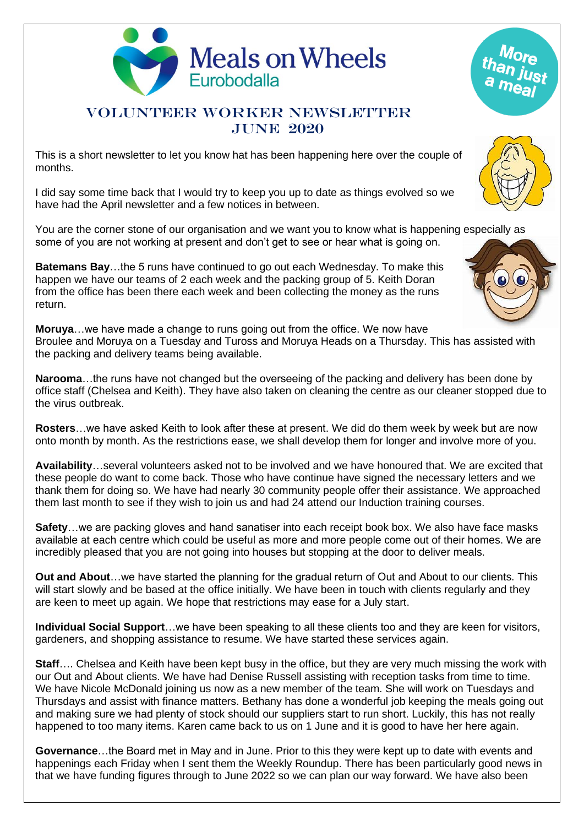

## VOLUNTEER WORKER NEWSLETTER june 2020

This is a short newsletter to let you know hat has been happening here over the couple of months.

I did say some time back that I would try to keep you up to date as things evolved so we have had the April newsletter and a few notices in between.

You are the corner stone of our organisation and we want you to know what is happening especially as some of you are not working at present and don't get to see or hear what is going on.

**Batemans Bay**…the 5 runs have continued to go out each Wednesday. To make this happen we have our teams of 2 each week and the packing group of 5. Keith Doran from the office has been there each week and been collecting the money as the runs return.

**Moruya**…we have made a change to runs going out from the office. We now have Broulee and Moruya on a Tuesday and Tuross and Moruya Heads on a Thursday. This has assisted with the packing and delivery teams being available.

**Narooma**…the runs have not changed but the overseeing of the packing and delivery has been done by office staff (Chelsea and Keith). They have also taken on cleaning the centre as our cleaner stopped due to the virus outbreak.

**Rosters**…we have asked Keith to look after these at present. We did do them week by week but are now onto month by month. As the restrictions ease, we shall develop them for longer and involve more of you.

**Availability**…several volunteers asked not to be involved and we have honoured that. We are excited that these people do want to come back. Those who have continue have signed the necessary letters and we thank them for doing so. We have had nearly 30 community people offer their assistance. We approached them last month to see if they wish to join us and had 24 attend our Induction training courses.

**Safety**…we are packing gloves and hand sanatiser into each receipt book box. We also have face masks available at each centre which could be useful as more and more people come out of their homes. We are incredibly pleased that you are not going into houses but stopping at the door to deliver meals.

**Out and About**…we have started the planning for the gradual return of Out and About to our clients. This will start slowly and be based at the office initially. We have been in touch with clients regularly and they are keen to meet up again. We hope that restrictions may ease for a July start.

**Individual Social Support**…we have been speaking to all these clients too and they are keen for visitors, gardeners, and shopping assistance to resume. We have started these services again.

**Staff**…. Chelsea and Keith have been kept busy in the office, but they are very much missing the work with our Out and About clients. We have had Denise Russell assisting with reception tasks from time to time. We have Nicole McDonald joining us now as a new member of the team. She will work on Tuesdays and Thursdays and assist with finance matters. Bethany has done a wonderful job keeping the meals going out and making sure we had plenty of stock should our suppliers start to run short. Luckily, this has not really happened to too many items. Karen came back to us on 1 June and it is good to have her here again.

**Governance**…the Board met in May and in June. Prior to this they were kept up to date with events and happenings each Friday when I sent them the Weekly Roundup. There has been particularly good news in that we have funding figures through to June 2022 so we can plan our way forward. We have also been